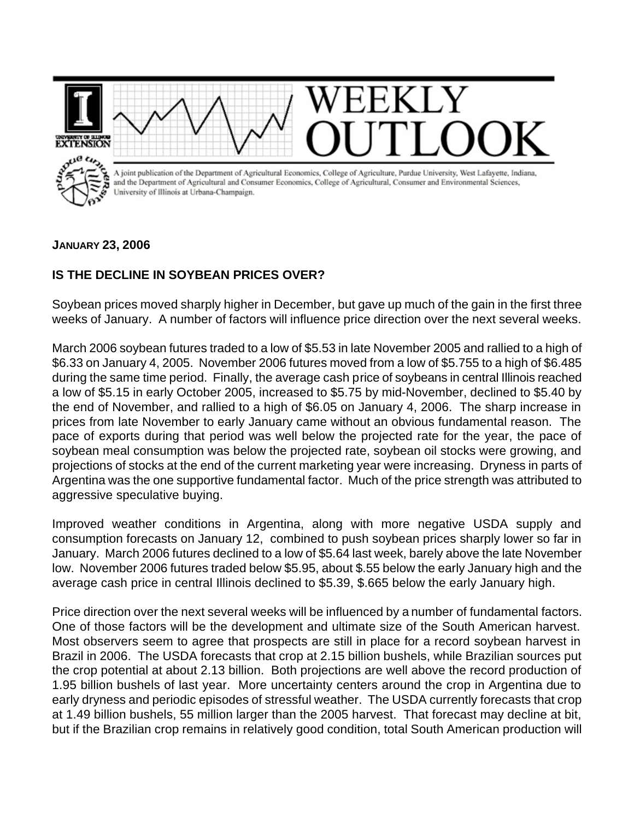**EXTENSION XTENSION** A joint publication of the Department of Agricultural Economics, College of Agriculture, Purdue University, West Lafayette, Indiana, and the Department of Agricultural and Consumer Economics, College of Agricultural, Consumer and Environmental Sciences, University of Illinois at Urbana-Champaign.

## **JANUARY 23, 2006**

## **IS THE DECLINE IN SOYBEAN PRICES OVER?**

Soybean prices moved sharply higher in December, but gave up much of the gain in the first three weeks of January. A number of factors will influence price direction over the next several weeks.

March 2006 soybean futures traded to a low of \$5.53 in late November 2005 and rallied to a high of \$6.33 on January 4, 2005. November 2006 futures moved from a low of \$5.755 to a high of \$6.485 during the same time period. Finally, the average cash price of soybeans in central Illinois reached a low of \$5.15 in early October 2005, increased to \$5.75 by mid-November, declined to \$5.40 by the end of November, and rallied to a high of \$6.05 on January 4, 2006. The sharp increase in prices from late November to early January came without an obvious fundamental reason. The pace of exports during that period was well below the projected rate for the year, the pace of soybean meal consumption was below the projected rate, soybean oil stocks were growing, and projections of stocks at the end of the current marketing year were increasing. Dryness in parts of Argentina was the one supportive fundamental factor. Much of the price strength was attributed to aggressive speculative buying.

Improved weather conditions in Argentina, along with more negative USDA supply and consumption forecasts on January 12, combined to push soybean prices sharply lower so far in January. March 2006 futures declined to a low of \$5.64 last week, barely above the late November low. November 2006 futures traded below \$5.95, about \$.55 below the early January high and the average cash price in central Illinois declined to \$5.39, \$.665 below the early January high.

Price direction over the next several weeks will be influenced by a number of fundamental factors. One of those factors will be the development and ultimate size of the South American harvest. Most observers seem to agree that prospects are still in place for a record soybean harvest in Brazil in 2006. The USDA forecasts that crop at 2.15 billion bushels, while Brazilian sources put the crop potential at about 2.13 billion. Both projections are well above the record production of 1.95 billion bushels of last year. More uncertainty centers around the crop in Argentina due to early dryness and periodic episodes of stressful weather. The USDA currently forecasts that crop at 1.49 billion bushels, 55 million larger than the 2005 harvest. That forecast may decline at bit, but if the Brazilian crop remains in relatively good condition, total South American production will